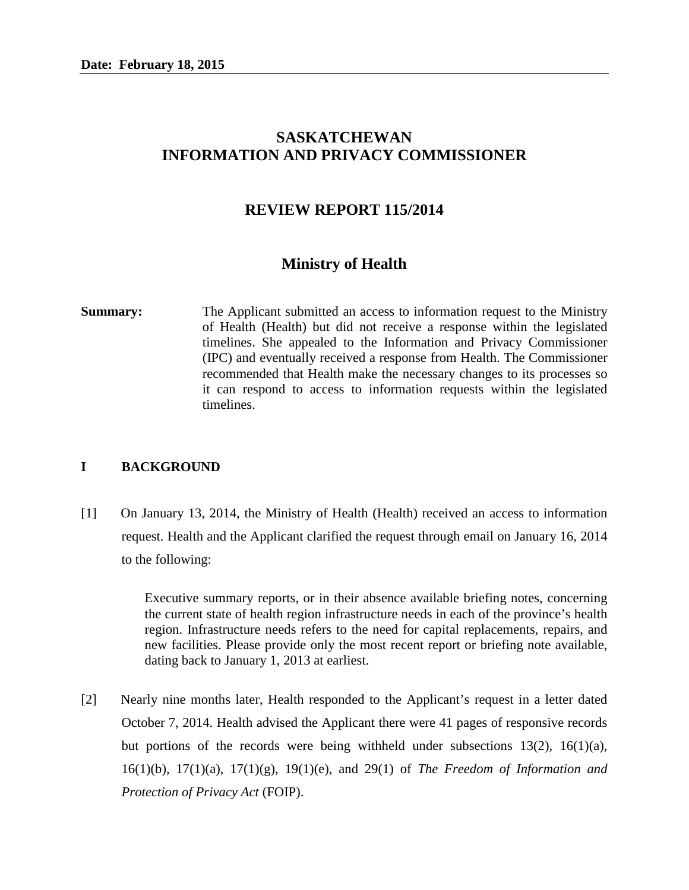# **SASKATCHEWAN INFORMATION AND PRIVACY COMMISSIONER**

# **REVIEW REPORT 115/2014**

# **Ministry of Health**

**Summary:** The Applicant submitted an access to information request to the Ministry of Health (Health) but did not receive a response within the legislated timelines. She appealed to the Information and Privacy Commissioner (IPC) and eventually received a response from Health. The Commissioner recommended that Health make the necessary changes to its processes so it can respond to access to information requests within the legislated timelines.

### **I BACKGROUND**

[1] On January 13, 2014, the Ministry of Health (Health) received an access to information request. Health and the Applicant clarified the request through email on January 16, 2014 to the following:

> Executive summary reports, or in their absence available briefing notes, concerning the current state of health region infrastructure needs in each of the province's health region. Infrastructure needs refers to the need for capital replacements, repairs, and new facilities. Please provide only the most recent report or briefing note available, dating back to January 1, 2013 at earliest.

[2] Nearly nine months later, Health responded to the Applicant's request in a letter dated October 7, 2014. Health advised the Applicant there were 41 pages of responsive records but portions of the records were being withheld under subsections 13(2), 16(1)(a), 16(1)(b), 17(1)(a), 17(1)(g), 19(1)(e), and 29(1) of *The Freedom of Information and Protection of Privacy Act* (FOIP).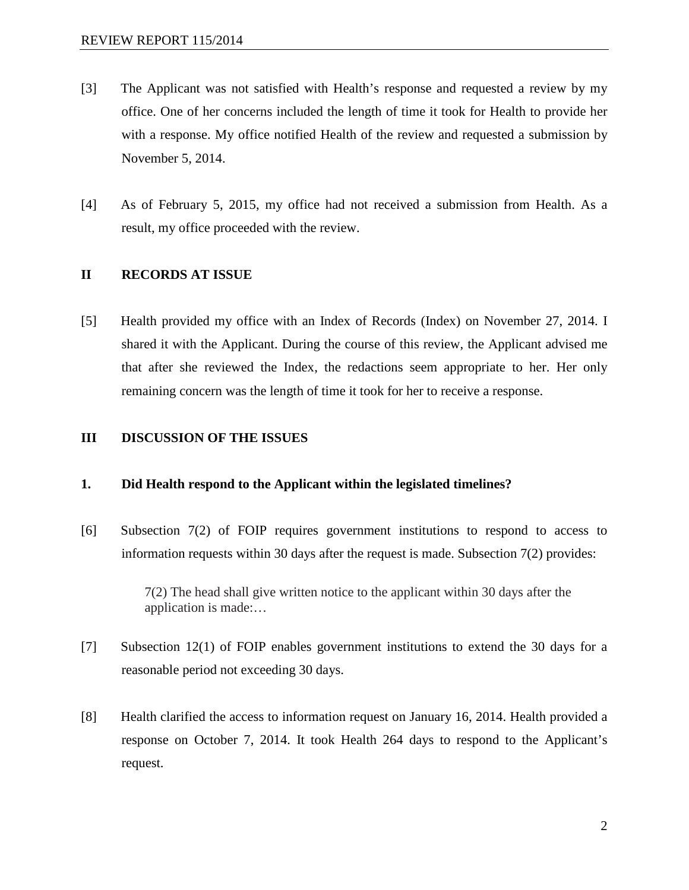- [3] The Applicant was not satisfied with Health's response and requested a review by my office. One of her concerns included the length of time it took for Health to provide her with a response. My office notified Health of the review and requested a submission by November 5, 2014.
- [4] As of February 5, 2015, my office had not received a submission from Health. As a result, my office proceeded with the review.

### **II RECORDS AT ISSUE**

[5] Health provided my office with an Index of Records (Index) on November 27, 2014. I shared it with the Applicant. During the course of this review, the Applicant advised me that after she reviewed the Index, the redactions seem appropriate to her. Her only remaining concern was the length of time it took for her to receive a response.

#### **III DISCUSSION OF THE ISSUES**

### **1. Did Health respond to the Applicant within the legislated timelines?**

[6] Subsection 7(2) of FOIP requires government institutions to respond to access to information requests within 30 days after the request is made. Subsection 7(2) provides:

> 7(2) The head shall give written notice to the applicant within 30 days after the application is made:…

- [7] Subsection 12(1) of FOIP enables government institutions to extend the 30 days for a reasonable period not exceeding 30 days.
- [8] Health clarified the access to information request on January 16, 2014. Health provided a response on October 7, 2014. It took Health 264 days to respond to the Applicant's request.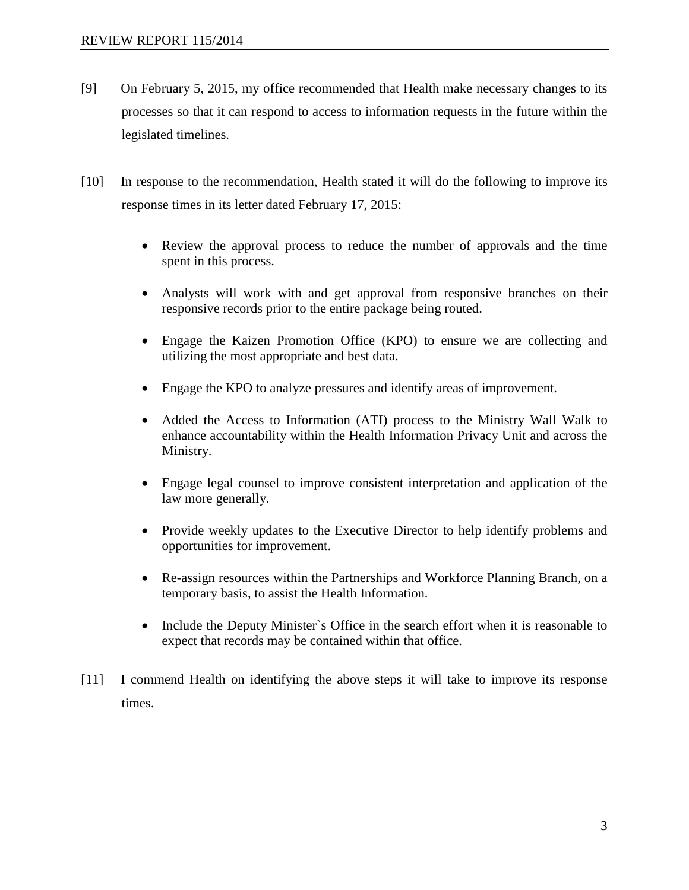- [9] On February 5, 2015, my office recommended that Health make necessary changes to its processes so that it can respond to access to information requests in the future within the legislated timelines.
- [10] In response to the recommendation, Health stated it will do the following to improve its response times in its letter dated February 17, 2015:
	- Review the approval process to reduce the number of approvals and the time spent in this process.
	- Analysts will work with and get approval from responsive branches on their responsive records prior to the entire package being routed.
	- Engage the Kaizen Promotion Office (KPO) to ensure we are collecting and utilizing the most appropriate and best data.
	- Engage the KPO to analyze pressures and identify areas of improvement.
	- Added the Access to Information (ATI) process to the Ministry Wall Walk to enhance accountability within the Health Information Privacy Unit and across the Ministry.
	- Engage legal counsel to improve consistent interpretation and application of the law more generally.
	- Provide weekly updates to the Executive Director to help identify problems and opportunities for improvement.
	- Re-assign resources within the Partnerships and Workforce Planning Branch, on a temporary basis, to assist the Health Information.
	- Include the Deputy Minister's Office in the search effort when it is reasonable to expect that records may be contained within that office.
- [11] I commend Health on identifying the above steps it will take to improve its response times.